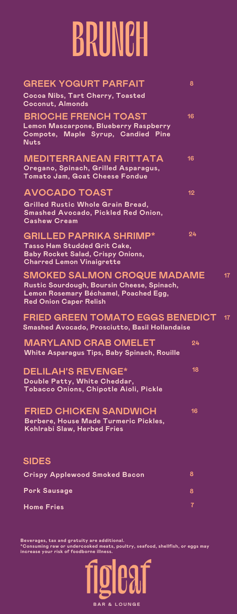## BRUNCH

| <b>GREEK YOGURT PARFAIT</b><br>8<br>Cocoa Nibs, Tart Cherry, Toasted<br><b>Coconut, Almonds</b><br><b>BRIOCHE FRENCH TOAST</b><br>16<br>Lemon Mascarpone, Blueberry Raspberry<br>Compote, Maple Syrup, Candied Pine<br><b>Nuts</b><br><b>MEDITERRANEAN FRITTATA</b><br>16<br>Oregano, Spinach, Grilled Asparagus,<br>Tomato Jam, Goat Cheese Fondue<br><b>AVOCADO TOAST</b><br>12<br>Grilled Rustic Whole Grain Bread,<br><b>Smashed Avocado, Pickled Red Onion,</b><br><b>Cashew Cream</b><br>24<br><b>GRILLED PAPRIKA SHRIMP*</b><br>Tasso Ham Studded Grit Cake,<br><b>Baby Rocket Salad, Crispy Onions,</b><br><b>Charred Lemon Vinaigrette</b><br><b>SMOKED SALMON CROQUE MADAME</b><br>Rustic Sourdough, Boursin Cheese, Spinach,<br>Lemon Rosemary Béchamel, Poached Egg,<br><b>Red Onion Caper Relish</b><br><b>FRIED GREEN TOMATO EGGS BENEDICT</b><br>Smashed Avocado, Prosciutto, Basil Hollandaise<br><b>MARYLAND CRAB OMELET</b><br>24<br>White Asparagus Tips, Baby Spinach, Rouille<br>18<br><b>DELILAH'S REVENGE*</b><br>Double Patty, White Cheddar,<br>Tobacco Onions, Chipotle Aioli, Pickle<br><b>FRIED CHICKEN SANDWICH</b><br>16<br>Berbere, House Made Turmeric Pickles,<br>Kohlrabi Slaw, Herbed Fries<br><b>SIDES</b><br>8<br><b>Crispy Applewood Smoked Bacon</b><br><b>Pork Sausage</b><br>8<br>$\overline{\mathbf{r}}$ |                   |                 |
|----------------------------------------------------------------------------------------------------------------------------------------------------------------------------------------------------------------------------------------------------------------------------------------------------------------------------------------------------------------------------------------------------------------------------------------------------------------------------------------------------------------------------------------------------------------------------------------------------------------------------------------------------------------------------------------------------------------------------------------------------------------------------------------------------------------------------------------------------------------------------------------------------------------------------------------------------------------------------------------------------------------------------------------------------------------------------------------------------------------------------------------------------------------------------------------------------------------------------------------------------------------------------------------------------------------------------------------------------|-------------------|-----------------|
|                                                                                                                                                                                                                                                                                                                                                                                                                                                                                                                                                                                                                                                                                                                                                                                                                                                                                                                                                                                                                                                                                                                                                                                                                                                                                                                                                    |                   |                 |
|                                                                                                                                                                                                                                                                                                                                                                                                                                                                                                                                                                                                                                                                                                                                                                                                                                                                                                                                                                                                                                                                                                                                                                                                                                                                                                                                                    |                   |                 |
|                                                                                                                                                                                                                                                                                                                                                                                                                                                                                                                                                                                                                                                                                                                                                                                                                                                                                                                                                                                                                                                                                                                                                                                                                                                                                                                                                    |                   |                 |
|                                                                                                                                                                                                                                                                                                                                                                                                                                                                                                                                                                                                                                                                                                                                                                                                                                                                                                                                                                                                                                                                                                                                                                                                                                                                                                                                                    |                   |                 |
|                                                                                                                                                                                                                                                                                                                                                                                                                                                                                                                                                                                                                                                                                                                                                                                                                                                                                                                                                                                                                                                                                                                                                                                                                                                                                                                                                    |                   |                 |
|                                                                                                                                                                                                                                                                                                                                                                                                                                                                                                                                                                                                                                                                                                                                                                                                                                                                                                                                                                                                                                                                                                                                                                                                                                                                                                                                                    |                   |                 |
|                                                                                                                                                                                                                                                                                                                                                                                                                                                                                                                                                                                                                                                                                                                                                                                                                                                                                                                                                                                                                                                                                                                                                                                                                                                                                                                                                    |                   |                 |
|                                                                                                                                                                                                                                                                                                                                                                                                                                                                                                                                                                                                                                                                                                                                                                                                                                                                                                                                                                                                                                                                                                                                                                                                                                                                                                                                                    |                   | 17 <sub>2</sub> |
|                                                                                                                                                                                                                                                                                                                                                                                                                                                                                                                                                                                                                                                                                                                                                                                                                                                                                                                                                                                                                                                                                                                                                                                                                                                                                                                                                    |                   | 17 <sub>2</sub> |
|                                                                                                                                                                                                                                                                                                                                                                                                                                                                                                                                                                                                                                                                                                                                                                                                                                                                                                                                                                                                                                                                                                                                                                                                                                                                                                                                                    |                   |                 |
|                                                                                                                                                                                                                                                                                                                                                                                                                                                                                                                                                                                                                                                                                                                                                                                                                                                                                                                                                                                                                                                                                                                                                                                                                                                                                                                                                    |                   |                 |
|                                                                                                                                                                                                                                                                                                                                                                                                                                                                                                                                                                                                                                                                                                                                                                                                                                                                                                                                                                                                                                                                                                                                                                                                                                                                                                                                                    |                   |                 |
|                                                                                                                                                                                                                                                                                                                                                                                                                                                                                                                                                                                                                                                                                                                                                                                                                                                                                                                                                                                                                                                                                                                                                                                                                                                                                                                                                    |                   |                 |
|                                                                                                                                                                                                                                                                                                                                                                                                                                                                                                                                                                                                                                                                                                                                                                                                                                                                                                                                                                                                                                                                                                                                                                                                                                                                                                                                                    |                   |                 |
|                                                                                                                                                                                                                                                                                                                                                                                                                                                                                                                                                                                                                                                                                                                                                                                                                                                                                                                                                                                                                                                                                                                                                                                                                                                                                                                                                    |                   |                 |
|                                                                                                                                                                                                                                                                                                                                                                                                                                                                                                                                                                                                                                                                                                                                                                                                                                                                                                                                                                                                                                                                                                                                                                                                                                                                                                                                                    | <b>Home Fries</b> |                 |

Beverages, tax and gratuity are additional.<br>\*Consuming raw or undercooked meats, poultry, seafood, shellfish, or eggs may<br>increase your risk of foodborne illness.